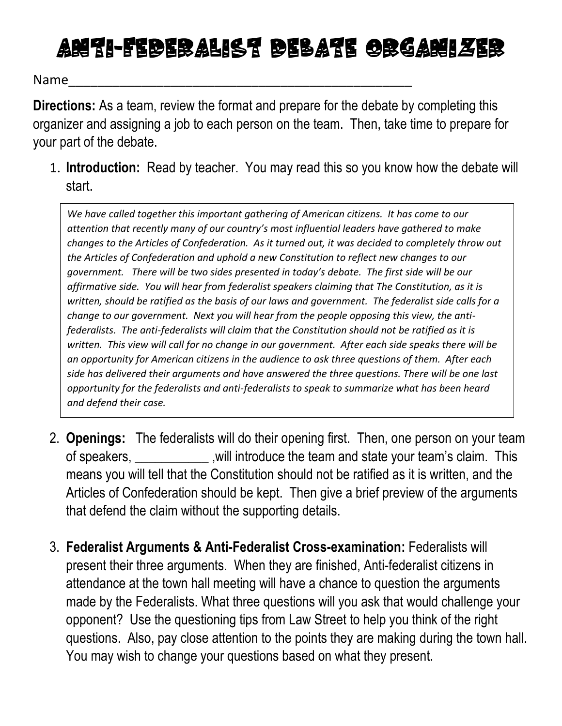## Arith-Federalist Debate Orgarizer

Name\_\_\_\_\_\_\_\_\_\_\_\_\_\_\_\_\_\_\_\_\_\_\_\_\_\_\_\_\_\_\_\_\_\_\_\_\_\_\_\_\_\_\_\_\_\_\_

**Directions:** As a team, review the format and prepare for the debate by completing this organizer and assigning a job to each person on the team. Then, take time to prepare for your part of the debate.

1. **Introduction:** Read by teacher. You may read this so you know how the debate will start.

*We have called together this important gathering of American citizens. It has come to our attention that recently many of our country's most influential leaders have gathered to make changes to the Articles of Confederation. As it turned out, it was decided to completely throw out the Articles of Confederation and uphold a new Constitution to reflect new changes to our government. There will be two sides presented in today's debate. The first side will be our affirmative side. You will hear from federalist speakers claiming that The Constitution, as it is written, should be ratified as the basis of our laws and government. The federalist side calls for a change to our government. Next you will hear from the people opposing this view, the antifederalists. The anti-federalists will claim that the Constitution should not be ratified as it is written. This view will call for no change in our government. After each side speaks there will be an opportunity for American citizens in the audience to ask three questions of them. After each side has delivered their arguments and have answered the three questions. There will be one last opportunity for the federalists and anti-federalists to speak to summarize what has been heard and defend their case.* 

- 2. **Openings:** The federalists will do their opening first. Then, one person on your team of speakers, \_\_\_\_\_\_\_\_\_\_\_ ,will introduce the team and state your team's claim. This means you will tell that the Constitution should not be ratified as it is written, and the Articles of Confederation should be kept. Then give a brief preview of the arguments that defend the claim without the supporting details.
- 3. **Federalist Arguments & Anti-Federalist Cross-examination:** Federalists will present their three arguments. When they are finished, Anti-federalist citizens in attendance at the town hall meeting will have a chance to question the arguments made by the Federalists. What three questions will you ask that would challenge your opponent? Use the questioning tips from Law Street to help you think of the right questions. Also, pay close attention to the points they are making during the town hall. You may wish to change your questions based on what they present.